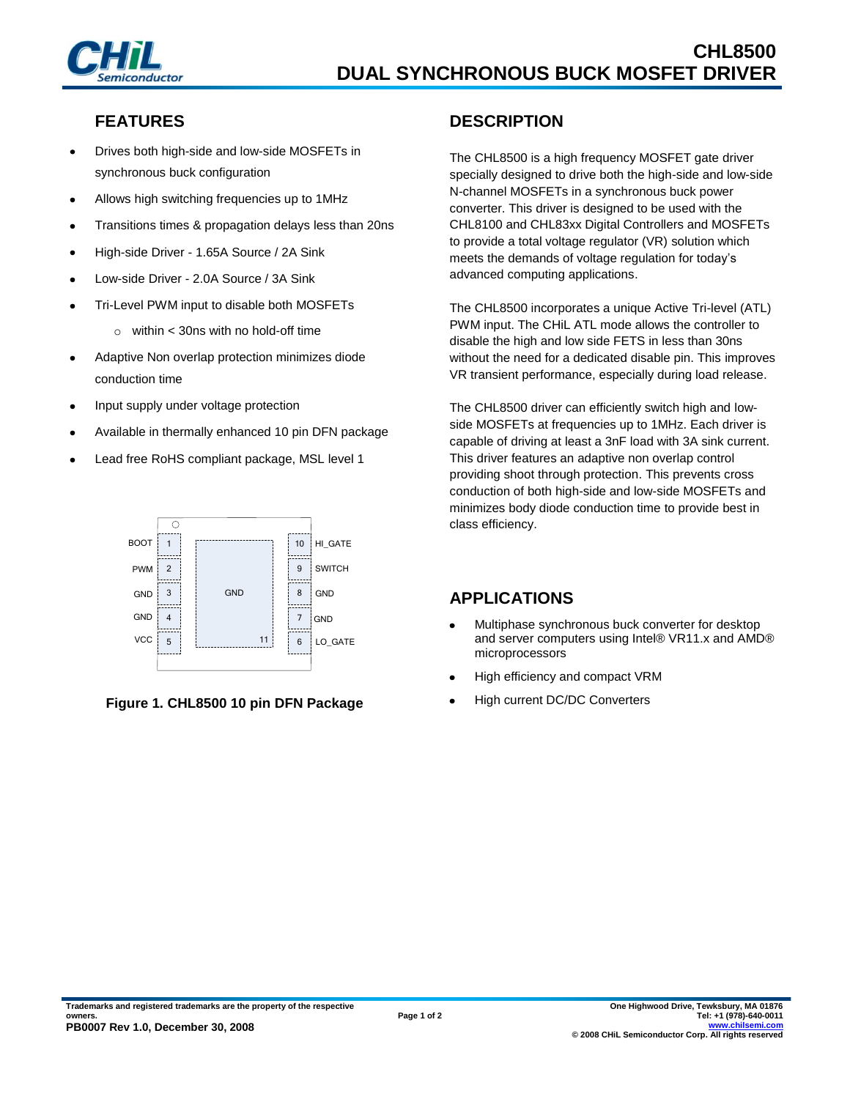

#### **FEATURES**

- Drives both high-side and low-side MOSFETs in synchronous buck configuration
- Allows high switching frequencies up to 1MHz
- Transitions times & propagation delays less than 20ns
- High-side Driver 1.65A Source / 2A Sink
- Low-side Driver 2.0A Source / 3A Sink
- Tri-Level PWM input to disable both MOSFETs
	- $\circ$  within < 30ns with no hold-off time
- Adaptive Non overlap protection minimizes diode conduction time
- Input supply under voltage protection
- Available in thermally enhanced 10 pin DFN package
- Lead free RoHS compliant package, MSL level 1





# **DESCRIPTION**

The CHL8500 is a high frequency MOSFET gate driver specially designed to drive both the high-side and low-side N-channel MOSFETs in a synchronous buck power converter. This driver is designed to be used with the CHL8100 and CHL83xx Digital Controllers and MOSFETs to provide a total voltage regulator (VR) solution which meets the demands of voltage regulation for today's advanced computing applications.

The CHL8500 incorporates a unique Active Tri-level (ATL) PWM input. The CHiL ATL mode allows the controller to disable the high and low side FETS in less than 30ns without the need for a dedicated disable pin. This improves VR transient performance, especially during load release.

The CHL8500 driver can efficiently switch high and lowside MOSFETs at frequencies up to 1MHz. Each driver is capable of driving at least a 3nF load with 3A sink current. This driver features an adaptive non overlap control providing shoot through protection. This prevents cross conduction of both high-side and low-side MOSFETs and minimizes body diode conduction time to provide best in class efficiency.

# **APPLICATIONS**

- Multiphase synchronous buck converter for desktop  $\bullet$ and server computers using Intel® VR11.x and AMD® microprocessors
- High efficiency and compact VRM
- High current DC/DC Converters